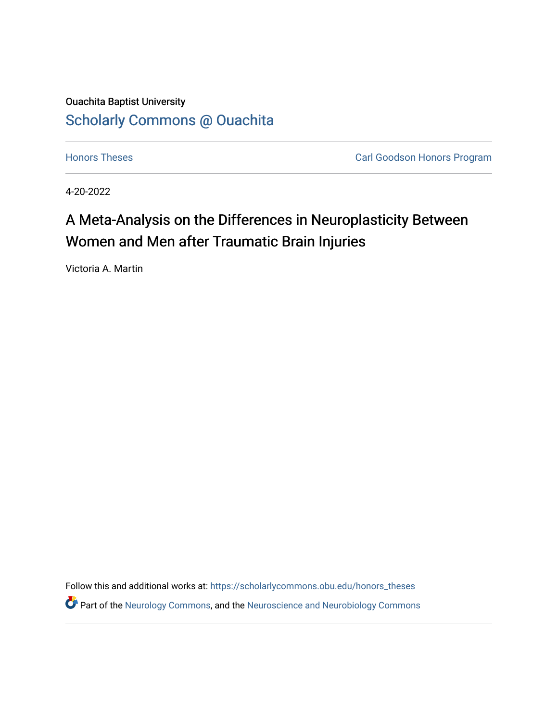# Ouachita Baptist University [Scholarly Commons @ Ouachita](https://scholarlycommons.obu.edu/)

**[Honors Theses](https://scholarlycommons.obu.edu/honors_theses) Carl Goodson Honors Program** 

4-20-2022

# A Meta-Analysis on the Differences in Neuroplasticity Between Women and Men after Traumatic Brain Injuries

Victoria A. Martin

Follow this and additional works at: [https://scholarlycommons.obu.edu/honors\\_theses](https://scholarlycommons.obu.edu/honors_theses?utm_source=scholarlycommons.obu.edu%2Fhonors_theses%2F833&utm_medium=PDF&utm_campaign=PDFCoverPages)  Part of the [Neurology Commons](http://network.bepress.com/hgg/discipline/692?utm_source=scholarlycommons.obu.edu%2Fhonors_theses%2F833&utm_medium=PDF&utm_campaign=PDFCoverPages), and the [Neuroscience and Neurobiology Commons](http://network.bepress.com/hgg/discipline/55?utm_source=scholarlycommons.obu.edu%2Fhonors_theses%2F833&utm_medium=PDF&utm_campaign=PDFCoverPages)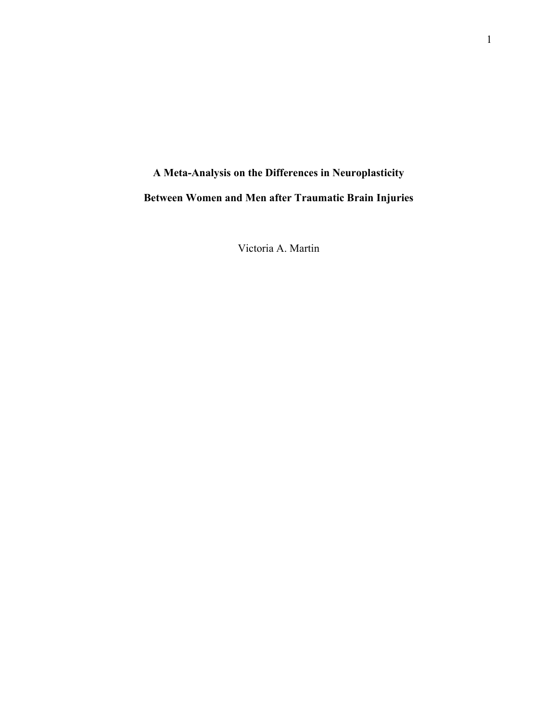# A Meta-Analysis on the Differences in Neuroplasticity Between Women and Men after Traumatic Brain Injuries

Victoria A. Martin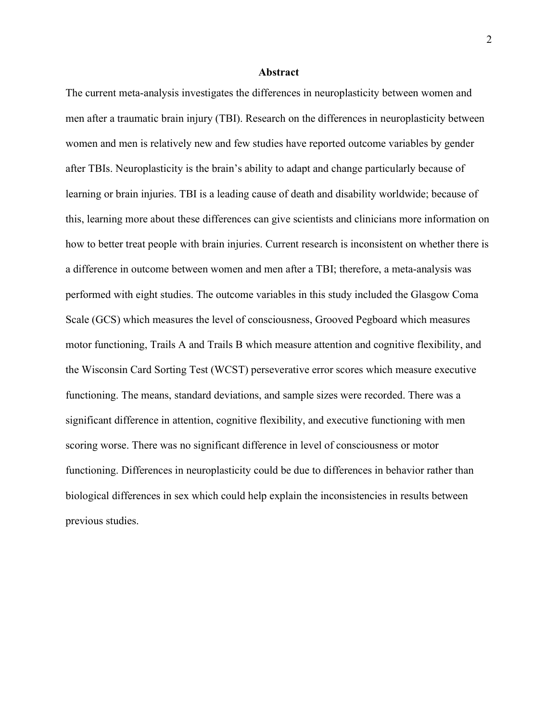#### Abstract

The current meta-analysis investigates the differences in neuroplasticity between women and men after a traumatic brain injury (TBI). Research on the differences in neuroplasticity between women and men is relatively new and few studies have reported outcome variables by gender after TBIs. Neuroplasticity is the brain's ability to adapt and change particularly because of learning or brain injuries. TBI is a leading cause of death and disability worldwide; because of this, learning more about these differences can give scientists and clinicians more information on how to better treat people with brain injuries. Current research is inconsistent on whether there is a difference in outcome between women and men after a TBI; therefore, a meta-analysis was performed with eight studies. The outcome variables in this study included the Glasgow Coma Scale (GCS) which measures the level of consciousness, Grooved Pegboard which measures motor functioning, Trails A and Trails B which measure attention and cognitive flexibility, and the Wisconsin Card Sorting Test (WCST) perseverative error scores which measure executive functioning. The means, standard deviations, and sample sizes were recorded. There was a significant difference in attention, cognitive flexibility, and executive functioning with men scoring worse. There was no significant difference in level of consciousness or motor functioning. Differences in neuroplasticity could be due to differences in behavior rather than biological differences in sex which could help explain the inconsistencies in results between previous studies.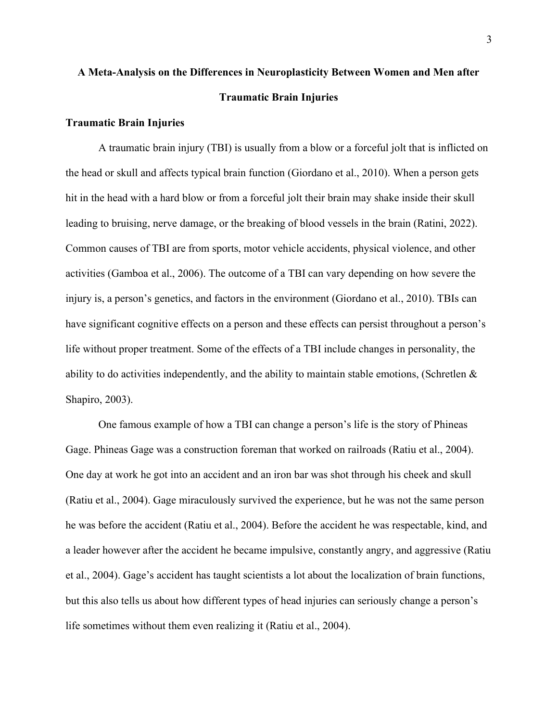# A Meta-Analysis on the Differences in Neuroplasticity Between Women and Men after Traumatic Brain Injuries

# Traumatic Brain Injuries

A traumatic brain injury (TBI) is usually from a blow or a forceful jolt that is inflicted on the head or skull and affects typical brain function (Giordano et al., 2010). When a person gets hit in the head with a hard blow or from a forceful jolt their brain may shake inside their skull leading to bruising, nerve damage, or the breaking of blood vessels in the brain (Ratini, 2022). Common causes of TBI are from sports, motor vehicle accidents, physical violence, and other activities (Gamboa et al., 2006). The outcome of a TBI can vary depending on how severe the injury is, a person's genetics, and factors in the environment (Giordano et al., 2010). TBIs can have significant cognitive effects on a person and these effects can persist throughout a person's life without proper treatment. Some of the effects of a TBI include changes in personality, the ability to do activities independently, and the ability to maintain stable emotions, (Schretlen & Shapiro, 2003).

One famous example of how a TBI can change a person's life is the story of Phineas Gage. Phineas Gage was a construction foreman that worked on railroads (Ratiu et al., 2004). One day at work he got into an accident and an iron bar was shot through his cheek and skull (Ratiu et al., 2004). Gage miraculously survived the experience, but he was not the same person he was before the accident (Ratiu et al., 2004). Before the accident he was respectable, kind, and a leader however after the accident he became impulsive, constantly angry, and aggressive (Ratiu et al., 2004). Gage's accident has taught scientists a lot about the localization of brain functions, but this also tells us about how different types of head injuries can seriously change a person's life sometimes without them even realizing it (Ratiu et al., 2004).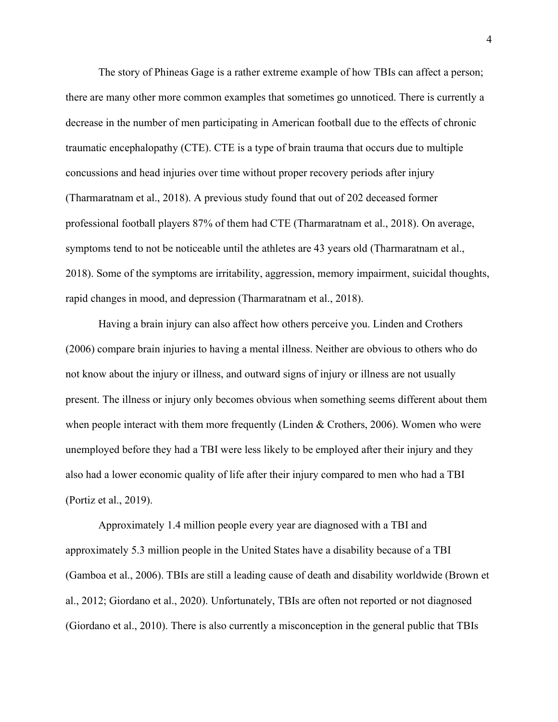The story of Phineas Gage is a rather extreme example of how TBIs can affect a person; there are many other more common examples that sometimes go unnoticed. There is currently a decrease in the number of men participating in American football due to the effects of chronic traumatic encephalopathy (CTE). CTE is a type of brain trauma that occurs due to multiple concussions and head injuries over time without proper recovery periods after injury (Tharmaratnam et al., 2018). A previous study found that out of 202 deceased former professional football players 87% of them had CTE (Tharmaratnam et al., 2018). On average, symptoms tend to not be noticeable until the athletes are 43 years old (Tharmaratnam et al., 2018). Some of the symptoms are irritability, aggression, memory impairment, suicidal thoughts, rapid changes in mood, and depression (Tharmaratnam et al., 2018).

Having a brain injury can also affect how others perceive you. Linden and Crothers (2006) compare brain injuries to having a mental illness. Neither are obvious to others who do not know about the injury or illness, and outward signs of injury or illness are not usually present. The illness or injury only becomes obvious when something seems different about them when people interact with them more frequently (Linden & Crothers, 2006). Women who were unemployed before they had a TBI were less likely to be employed after their injury and they also had a lower economic quality of life after their injury compared to men who had a TBI (Portiz et al., 2019).

Approximately 1.4 million people every year are diagnosed with a TBI and approximately 5.3 million people in the United States have a disability because of a TBI (Gamboa et al., 2006). TBIs are still a leading cause of death and disability worldwide (Brown et al., 2012; Giordano et al., 2020). Unfortunately, TBIs are often not reported or not diagnosed (Giordano et al., 2010). There is also currently a misconception in the general public that TBIs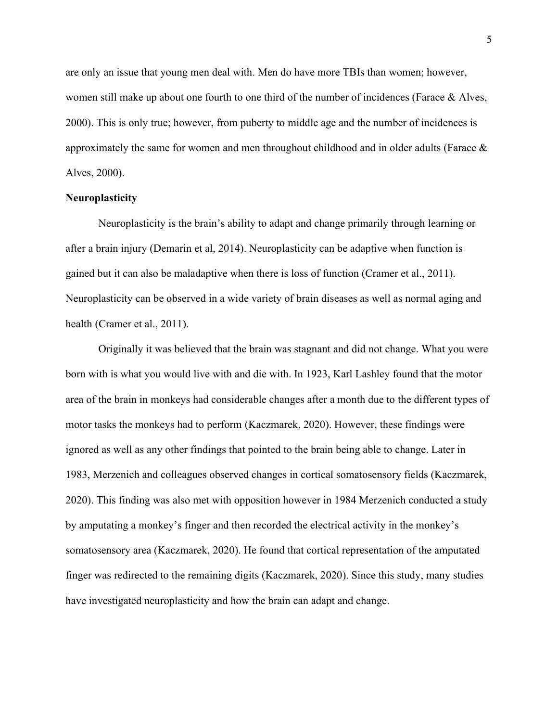are only an issue that young men deal with. Men do have more TBIs than women; however, women still make up about one fourth to one third of the number of incidences (Farace  $\&$  Alves, 2000). This is only true; however, from puberty to middle age and the number of incidences is approximately the same for women and men throughout childhood and in older adults (Farace  $\&$ Alves, 2000).

# **Neuroplasticity**

Neuroplasticity is the brain's ability to adapt and change primarily through learning or after a brain injury (Demarin et al, 2014). Neuroplasticity can be adaptive when function is gained but it can also be maladaptive when there is loss of function (Cramer et al., 2011). Neuroplasticity can be observed in a wide variety of brain diseases as well as normal aging and health (Cramer et al., 2011).

Originally it was believed that the brain was stagnant and did not change. What you were born with is what you would live with and die with. In 1923, Karl Lashley found that the motor area of the brain in monkeys had considerable changes after a month due to the different types of motor tasks the monkeys had to perform (Kaczmarek, 2020). However, these findings were ignored as well as any other findings that pointed to the brain being able to change. Later in 1983, Merzenich and colleagues observed changes in cortical somatosensory fields (Kaczmarek, 2020). This finding was also met with opposition however in 1984 Merzenich conducted a study by amputating a monkey's finger and then recorded the electrical activity in the monkey's somatosensory area (Kaczmarek, 2020). He found that cortical representation of the amputated finger was redirected to the remaining digits (Kaczmarek, 2020). Since this study, many studies have investigated neuroplasticity and how the brain can adapt and change.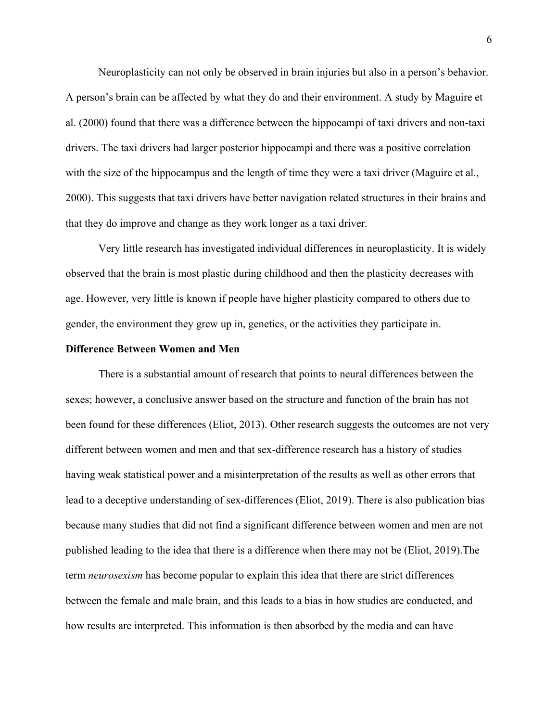Neuroplasticity can not only be observed in brain injuries but also in a person's behavior. A person's brain can be affected by what they do and their environment. A study by Maguire et al. (2000) found that there was a difference between the hippocampi of taxi drivers and non-taxi drivers. The taxi drivers had larger posterior hippocampi and there was a positive correlation with the size of the hippocampus and the length of time they were a taxi driver (Maguire et al., 2000). This suggests that taxi drivers have better navigation related structures in their brains and that they do improve and change as they work longer as a taxi driver.

Very little research has investigated individual differences in neuroplasticity. It is widely observed that the brain is most plastic during childhood and then the plasticity decreases with age. However, very little is known if people have higher plasticity compared to others due to gender, the environment they grew up in, genetics, or the activities they participate in.

# Difference Between Women and Men

There is a substantial amount of research that points to neural differences between the sexes; however, a conclusive answer based on the structure and function of the brain has not been found for these differences (Eliot, 2013). Other research suggests the outcomes are not very different between women and men and that sex-difference research has a history of studies having weak statistical power and a misinterpretation of the results as well as other errors that lead to a deceptive understanding of sex-differences (Eliot, 2019). There is also publication bias because many studies that did not find a significant difference between women and men are not published leading to the idea that there is a difference when there may not be (Eliot, 2019).The term neurosexism has become popular to explain this idea that there are strict differences between the female and male brain, and this leads to a bias in how studies are conducted, and how results are interpreted. This information is then absorbed by the media and can have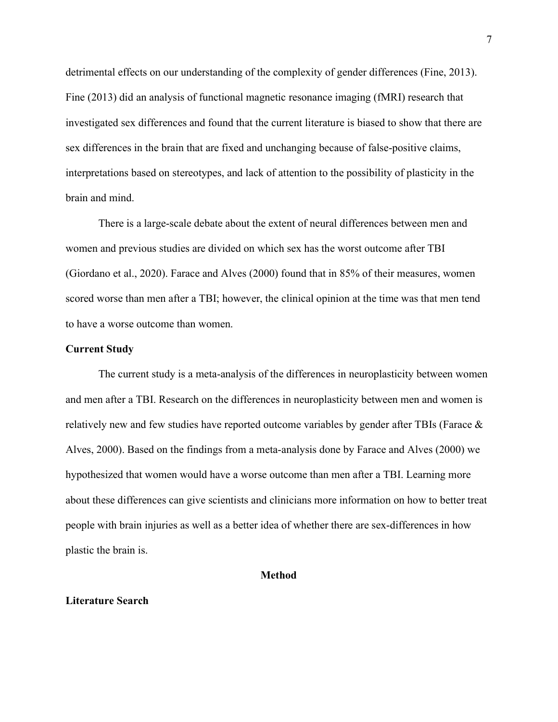detrimental effects on our understanding of the complexity of gender differences (Fine, 2013). Fine (2013) did an analysis of functional magnetic resonance imaging (fMRI) research that investigated sex differences and found that the current literature is biased to show that there are sex differences in the brain that are fixed and unchanging because of false-positive claims, interpretations based on stereotypes, and lack of attention to the possibility of plasticity in the brain and mind.

There is a large-scale debate about the extent of neural differences between men and women and previous studies are divided on which sex has the worst outcome after TBI (Giordano et al., 2020). Farace and Alves (2000) found that in 85% of their measures, women scored worse than men after a TBI; however, the clinical opinion at the time was that men tend to have a worse outcome than women.

#### Current Study

The current study is a meta-analysis of the differences in neuroplasticity between women and men after a TBI. Research on the differences in neuroplasticity between men and women is relatively new and few studies have reported outcome variables by gender after TBIs (Farace  $\&$ Alves, 2000). Based on the findings from a meta-analysis done by Farace and Alves (2000) we hypothesized that women would have a worse outcome than men after a TBI. Learning more about these differences can give scientists and clinicians more information on how to better treat people with brain injuries as well as a better idea of whether there are sex-differences in how plastic the brain is.

# Method

# Literature Search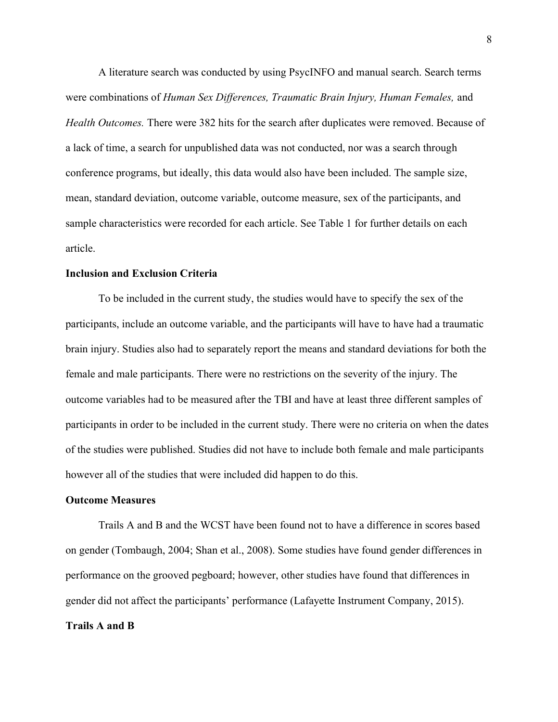A literature search was conducted by using PsycINFO and manual search. Search terms were combinations of Human Sex Differences, Traumatic Brain Injury, Human Females, and Health Outcomes. There were 382 hits for the search after duplicates were removed. Because of a lack of time, a search for unpublished data was not conducted, nor was a search through conference programs, but ideally, this data would also have been included. The sample size, mean, standard deviation, outcome variable, outcome measure, sex of the participants, and sample characteristics were recorded for each article. See Table 1 for further details on each article.

# Inclusion and Exclusion Criteria

To be included in the current study, the studies would have to specify the sex of the participants, include an outcome variable, and the participants will have to have had a traumatic brain injury. Studies also had to separately report the means and standard deviations for both the female and male participants. There were no restrictions on the severity of the injury. The outcome variables had to be measured after the TBI and have at least three different samples of participants in order to be included in the current study. There were no criteria on when the dates of the studies were published. Studies did not have to include both female and male participants however all of the studies that were included did happen to do this.

# Outcome Measures

Trails A and B and the WCST have been found not to have a difference in scores based on gender (Tombaugh, 2004; Shan et al., 2008). Some studies have found gender differences in performance on the grooved pegboard; however, other studies have found that differences in gender did not affect the participants' performance (Lafayette Instrument Company, 2015). Trails A and B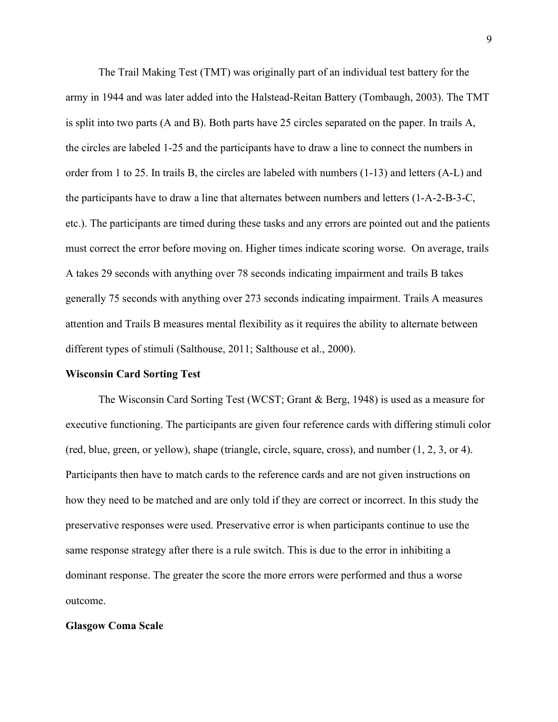The Trail Making Test (TMT) was originally part of an individual test battery for the army in 1944 and was later added into the Halstead-Reitan Battery (Tombaugh, 2003). The TMT is split into two parts (A and B). Both parts have 25 circles separated on the paper. In trails A, the circles are labeled 1-25 and the participants have to draw a line to connect the numbers in order from 1 to 25. In trails B, the circles are labeled with numbers (1-13) and letters (A-L) and the participants have to draw a line that alternates between numbers and letters (1-A-2-B-3-C, etc.). The participants are timed during these tasks and any errors are pointed out and the patients must correct the error before moving on. Higher times indicate scoring worse. On average, trails A takes 29 seconds with anything over 78 seconds indicating impairment and trails B takes generally 75 seconds with anything over 273 seconds indicating impairment. Trails A measures attention and Trails B measures mental flexibility as it requires the ability to alternate between different types of stimuli (Salthouse, 2011; Salthouse et al., 2000).

#### Wisconsin Card Sorting Test

The Wisconsin Card Sorting Test (WCST; Grant & Berg, 1948) is used as a measure for executive functioning. The participants are given four reference cards with differing stimuli color (red, blue, green, or yellow), shape (triangle, circle, square, cross), and number (1, 2, 3, or 4). Participants then have to match cards to the reference cards and are not given instructions on how they need to be matched and are only told if they are correct or incorrect. In this study the preservative responses were used. Preservative error is when participants continue to use the same response strategy after there is a rule switch. This is due to the error in inhibiting a dominant response. The greater the score the more errors were performed and thus a worse outcome.

#### Glasgow Coma Scale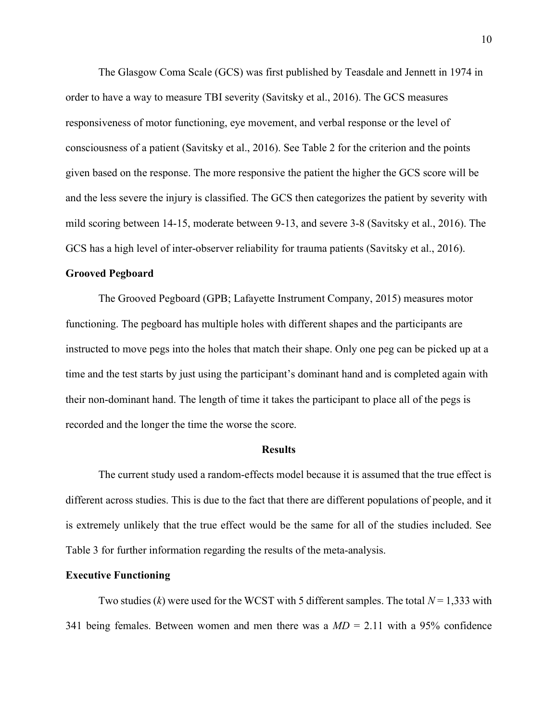The Glasgow Coma Scale (GCS) was first published by Teasdale and Jennett in 1974 in order to have a way to measure TBI severity (Savitsky et al., 2016). The GCS measures responsiveness of motor functioning, eye movement, and verbal response or the level of consciousness of a patient (Savitsky et al., 2016). See Table 2 for the criterion and the points given based on the response. The more responsive the patient the higher the GCS score will be and the less severe the injury is classified. The GCS then categorizes the patient by severity with mild scoring between 14-15, moderate between 9-13, and severe 3-8 (Savitsky et al., 2016). The GCS has a high level of inter-observer reliability for trauma patients (Savitsky et al., 2016).

# Grooved Pegboard

The Grooved Pegboard (GPB; Lafayette Instrument Company, 2015) measures motor functioning. The pegboard has multiple holes with different shapes and the participants are instructed to move pegs into the holes that match their shape. Only one peg can be picked up at a time and the test starts by just using the participant's dominant hand and is completed again with their non-dominant hand. The length of time it takes the participant to place all of the pegs is recorded and the longer the time the worse the score.

#### **Results**

 The current study used a random-effects model because it is assumed that the true effect is different across studies. This is due to the fact that there are different populations of people, and it is extremely unlikely that the true effect would be the same for all of the studies included. See Table 3 for further information regarding the results of the meta-analysis.

#### Executive Functioning

Two studies (k) were used for the WCST with 5 different samples. The total  $N = 1,333$  with 341 being females. Between women and men there was a  $MD = 2.11$  with a 95% confidence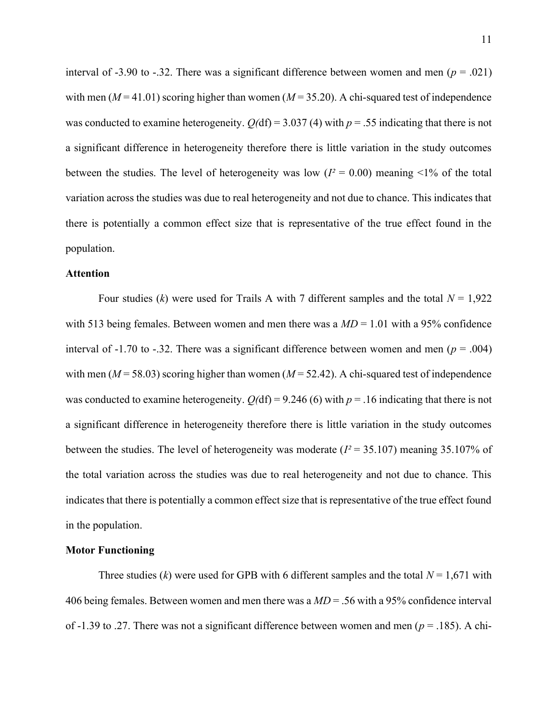interval of -3.90 to -.32. There was a significant difference between women and men ( $p = .021$ ) with men ( $M = 41.01$ ) scoring higher than women ( $M = 35.20$ ). A chi-squared test of independence was conducted to examine heterogeneity.  $Q(df) = 3.037$  (4) with  $p = .55$  indicating that there is not a significant difference in heterogeneity therefore there is little variation in the study outcomes between the studies. The level of heterogeneity was low  $(I^2 = 0.00)$  meaning <1% of the total variation across the studies was due to real heterogeneity and not due to chance. This indicates that there is potentially a common effect size that is representative of the true effect found in the population.

# Attention

Four studies (k) were used for Trails A with 7 different samples and the total  $N = 1,922$ with 513 being females. Between women and men there was a  $MD = 1.01$  with a 95% confidence interval of -1.70 to -.32. There was a significant difference between women and men ( $p = .004$ ) with men ( $M = 58.03$ ) scoring higher than women ( $M = 52.42$ ). A chi-squared test of independence was conducted to examine heterogeneity.  $Q(df) = 9.246$  (6) with  $p = .16$  indicating that there is not a significant difference in heterogeneity therefore there is little variation in the study outcomes between the studies. The level of heterogeneity was moderate ( $I^2 = 35.107$ ) meaning 35.107% of the total variation across the studies was due to real heterogeneity and not due to chance. This indicates that there is potentially a common effect size that is representative of the true effect found in the population.

#### Motor Functioning

Three studies (k) were used for GPB with 6 different samples and the total  $N = 1,671$  with 406 being females. Between women and men there was a  $MD = .56$  with a 95% confidence interval of -1.39 to .27. There was not a significant difference between women and men ( $p = .185$ ). A chi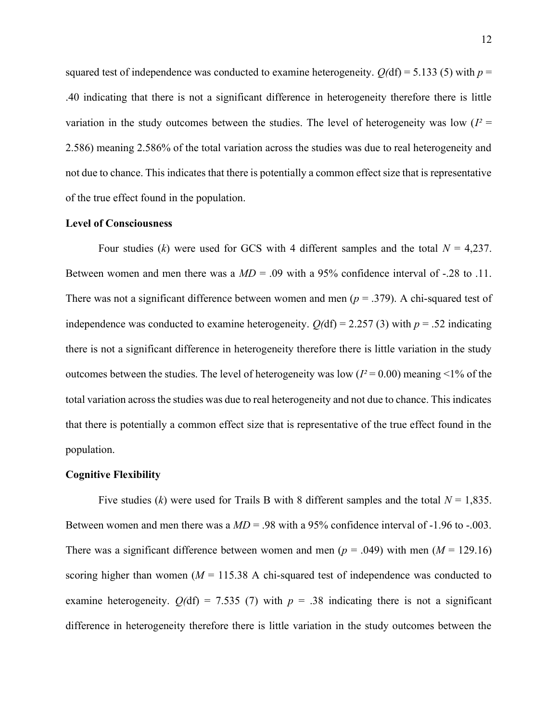squared test of independence was conducted to examine heterogeneity.  $O(df) = 5.133$  (5) with  $p =$ .40 indicating that there is not a significant difference in heterogeneity therefore there is little variation in the study outcomes between the studies. The level of heterogeneity was low  $(I^2 =$ 2.586) meaning 2.586% of the total variation across the studies was due to real heterogeneity and not due to chance. This indicates that there is potentially a common effect size that is representative of the true effect found in the population.

# Level of Consciousness

Four studies (k) were used for GCS with 4 different samples and the total  $N = 4,237$ . Between women and men there was a  $MD = .09$  with a 95% confidence interval of -.28 to .11. There was not a significant difference between women and men ( $p = 0.379$ ). A chi-squared test of independence was conducted to examine heterogeneity.  $O(df) = 2.257$  (3) with  $p = .52$  indicating there is not a significant difference in heterogeneity therefore there is little variation in the study outcomes between the studies. The level of heterogeneity was low ( $I^2 = 0.00$ ) meaning <1% of the total variation across the studies was due to real heterogeneity and not due to chance. This indicates that there is potentially a common effect size that is representative of the true effect found in the population.

#### Cognitive Flexibility

Five studies (k) were used for Trails B with 8 different samples and the total  $N = 1,835$ . Between women and men there was a  $MD = .98$  with a 95% confidence interval of -1.96 to -.003. There was a significant difference between women and men ( $p = .049$ ) with men ( $M = 129.16$ ) scoring higher than women ( $M = 115.38$  A chi-squared test of independence was conducted to examine heterogeneity.  $Q(df) = 7.535$  (7) with  $p = .38$  indicating there is not a significant difference in heterogeneity therefore there is little variation in the study outcomes between the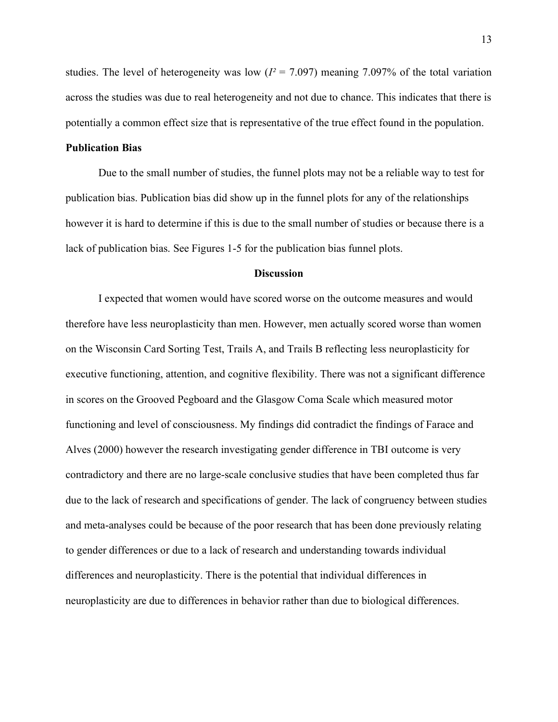studies. The level of heterogeneity was low ( $I^2 = 7.097$ ) meaning 7.097% of the total variation across the studies was due to real heterogeneity and not due to chance. This indicates that there is potentially a common effect size that is representative of the true effect found in the population.

# Publication Bias

Due to the small number of studies, the funnel plots may not be a reliable way to test for publication bias. Publication bias did show up in the funnel plots for any of the relationships however it is hard to determine if this is due to the small number of studies or because there is a lack of publication bias. See Figures 1-5 for the publication bias funnel plots.

# **Discussion**

I expected that women would have scored worse on the outcome measures and would therefore have less neuroplasticity than men. However, men actually scored worse than women on the Wisconsin Card Sorting Test, Trails A, and Trails B reflecting less neuroplasticity for executive functioning, attention, and cognitive flexibility. There was not a significant difference in scores on the Grooved Pegboard and the Glasgow Coma Scale which measured motor functioning and level of consciousness. My findings did contradict the findings of Farace and Alves (2000) however the research investigating gender difference in TBI outcome is very contradictory and there are no large-scale conclusive studies that have been completed thus far due to the lack of research and specifications of gender. The lack of congruency between studies and meta-analyses could be because of the poor research that has been done previously relating to gender differences or due to a lack of research and understanding towards individual differences and neuroplasticity. There is the potential that individual differences in neuroplasticity are due to differences in behavior rather than due to biological differences.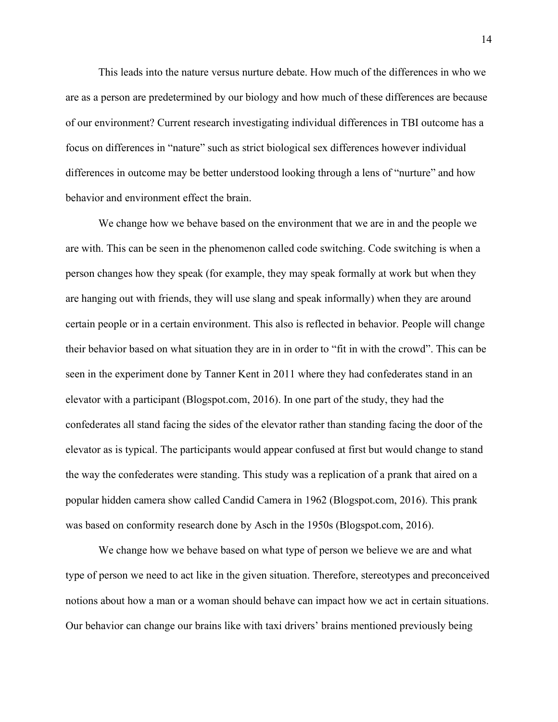This leads into the nature versus nurture debate. How much of the differences in who we are as a person are predetermined by our biology and how much of these differences are because of our environment? Current research investigating individual differences in TBI outcome has a focus on differences in "nature" such as strict biological sex differences however individual differences in outcome may be better understood looking through a lens of "nurture" and how behavior and environment effect the brain.

We change how we behave based on the environment that we are in and the people we are with. This can be seen in the phenomenon called code switching. Code switching is when a person changes how they speak (for example, they may speak formally at work but when they are hanging out with friends, they will use slang and speak informally) when they are around certain people or in a certain environment. This also is reflected in behavior. People will change their behavior based on what situation they are in in order to "fit in with the crowd". This can be seen in the experiment done by Tanner Kent in 2011 where they had confederates stand in an elevator with a participant (Blogspot.com, 2016). In one part of the study, they had the confederates all stand facing the sides of the elevator rather than standing facing the door of the elevator as is typical. The participants would appear confused at first but would change to stand the way the confederates were standing. This study was a replication of a prank that aired on a popular hidden camera show called Candid Camera in 1962 (Blogspot.com, 2016). This prank was based on conformity research done by Asch in the 1950s (Blogspot.com, 2016).

We change how we behave based on what type of person we believe we are and what type of person we need to act like in the given situation. Therefore, stereotypes and preconceived notions about how a man or a woman should behave can impact how we act in certain situations. Our behavior can change our brains like with taxi drivers' brains mentioned previously being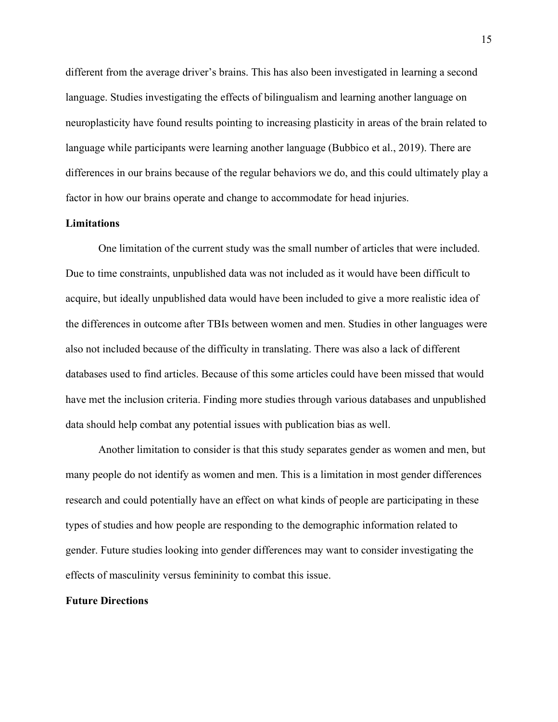different from the average driver's brains. This has also been investigated in learning a second language. Studies investigating the effects of bilingualism and learning another language on neuroplasticity have found results pointing to increasing plasticity in areas of the brain related to language while participants were learning another language (Bubbico et al., 2019). There are differences in our brains because of the regular behaviors we do, and this could ultimately play a factor in how our brains operate and change to accommodate for head injuries.

# **Limitations**

 One limitation of the current study was the small number of articles that were included. Due to time constraints, unpublished data was not included as it would have been difficult to acquire, but ideally unpublished data would have been included to give a more realistic idea of the differences in outcome after TBIs between women and men. Studies in other languages were also not included because of the difficulty in translating. There was also a lack of different databases used to find articles. Because of this some articles could have been missed that would have met the inclusion criteria. Finding more studies through various databases and unpublished data should help combat any potential issues with publication bias as well.

Another limitation to consider is that this study separates gender as women and men, but many people do not identify as women and men. This is a limitation in most gender differences research and could potentially have an effect on what kinds of people are participating in these types of studies and how people are responding to the demographic information related to gender. Future studies looking into gender differences may want to consider investigating the effects of masculinity versus femininity to combat this issue.

#### Future Directions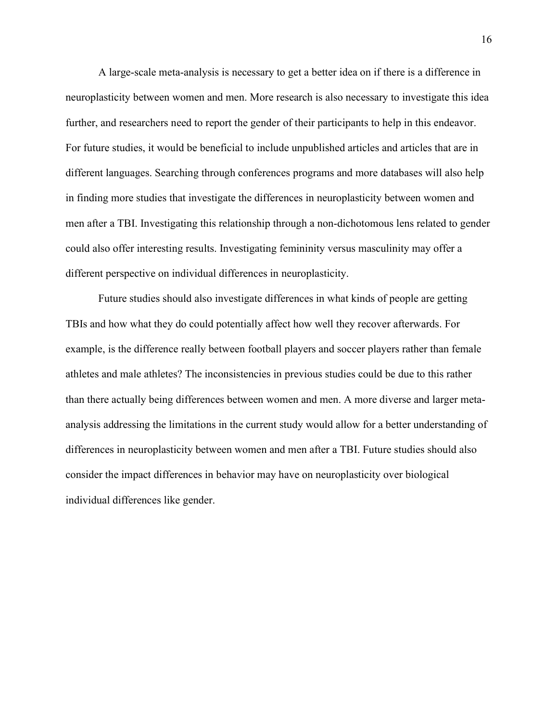A large-scale meta-analysis is necessary to get a better idea on if there is a difference in neuroplasticity between women and men. More research is also necessary to investigate this idea further, and researchers need to report the gender of their participants to help in this endeavor. For future studies, it would be beneficial to include unpublished articles and articles that are in different languages. Searching through conferences programs and more databases will also help in finding more studies that investigate the differences in neuroplasticity between women and men after a TBI. Investigating this relationship through a non-dichotomous lens related to gender could also offer interesting results. Investigating femininity versus masculinity may offer a different perspective on individual differences in neuroplasticity.

 Future studies should also investigate differences in what kinds of people are getting TBIs and how what they do could potentially affect how well they recover afterwards. For example, is the difference really between football players and soccer players rather than female athletes and male athletes? The inconsistencies in previous studies could be due to this rather than there actually being differences between women and men. A more diverse and larger metaanalysis addressing the limitations in the current study would allow for a better understanding of differences in neuroplasticity between women and men after a TBI. Future studies should also consider the impact differences in behavior may have on neuroplasticity over biological individual differences like gender.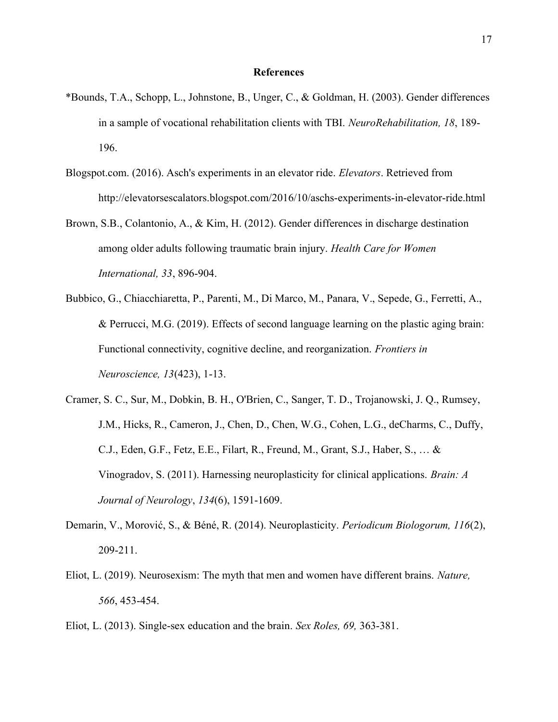# **References**

- \*Bounds, T.A., Schopp, L., Johnstone, B., Unger, C., & Goldman, H. (2003). Gender differences in a sample of vocational rehabilitation clients with TBI. NeuroRehabilitation, 18, 189-196.
- Blogspot.com. (2016). Asch's experiments in an elevator ride. Elevators. Retrieved from http://elevatorsescalators.blogspot.com/2016/10/aschs-experiments-in-elevator-ride.html
- Brown, S.B., Colantonio, A., & Kim, H. (2012). Gender differences in discharge destination among older adults following traumatic brain injury. Health Care for Women International, 33, 896-904.
- Bubbico, G., Chiacchiaretta, P., Parenti, M., Di Marco, M., Panara, V., Sepede, G., Ferretti, A., & Perrucci, M.G. (2019). Effects of second language learning on the plastic aging brain: Functional connectivity, cognitive decline, and reorganization. Frontiers in Neuroscience, 13(423), 1-13.
- Cramer, S. C., Sur, M., Dobkin, B. H., O'Brien, C., Sanger, T. D., Trojanowski, J. Q., Rumsey, J.M., Hicks, R., Cameron, J., Chen, D., Chen, W.G., Cohen, L.G., deCharms, C., Duffy, C.J., Eden, G.F., Fetz, E.E., Filart, R., Freund, M., Grant, S.J., Haber, S., … & Vinogradov, S. (2011). Harnessing neuroplasticity for clinical applications. Brain: A Journal of Neurology, 134(6), 1591-1609.
- Demarin, V., Morović, S., & Béné, R. (2014). Neuroplasticity. Periodicum Biologorum, 116(2), 209-211.
- Eliot, L. (2019). Neurosexism: The myth that men and women have different brains. Nature, 566, 453-454.
- Eliot, L. (2013). Single-sex education and the brain. Sex Roles, 69, 363-381.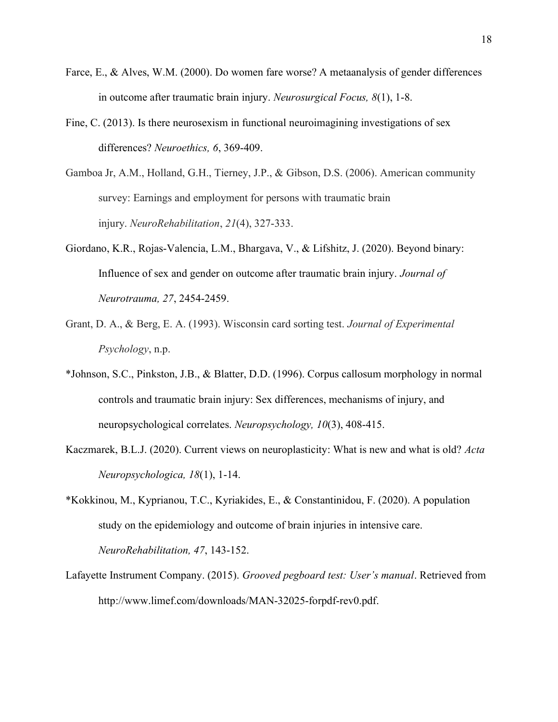- Farce, E., & Alves, W.M. (2000). Do women fare worse? A metaanalysis of gender differences in outcome after traumatic brain injury. Neurosurgical Focus, 8(1), 1-8.
- Fine, C. (2013). Is there neurosexism in functional neuroimagining investigations of sex differences? Neuroethics, 6, 369-409.
- Gamboa Jr, A.M., Holland, G.H., Tierney, J.P., & Gibson, D.S. (2006). American community survey: Earnings and employment for persons with traumatic brain injury. NeuroRehabilitation, 21(4), 327-333.
- Giordano, K.R., Rojas-Valencia, L.M., Bhargava, V., & Lifshitz, J. (2020). Beyond binary: Influence of sex and gender on outcome after traumatic brain injury. Journal of Neurotrauma, 27, 2454-2459.
- Grant, D. A., & Berg, E. A. (1993). Wisconsin card sorting test. Journal of Experimental Psychology, n.p.
- \*Johnson, S.C., Pinkston, J.B., & Blatter, D.D. (1996). Corpus callosum morphology in normal controls and traumatic brain injury: Sex differences, mechanisms of injury, and neuropsychological correlates. Neuropsychology, 10(3), 408-415.
- Kaczmarek, B.L.J. (2020). Current views on neuroplasticity: What is new and what is old? Acta Neuropsychologica, 18(1), 1-14.
- \*Kokkinou, M., Kyprianou, T.C., Kyriakides, E., & Constantinidou, F. (2020). A population study on the epidemiology and outcome of brain injuries in intensive care. NeuroRehabilitation, 47, 143-152.
- Lafayette Instrument Company. (2015). Grooved pegboard test: User's manual. Retrieved from http://www.limef.com/downloads/MAN-32025-forpdf-rev0.pdf.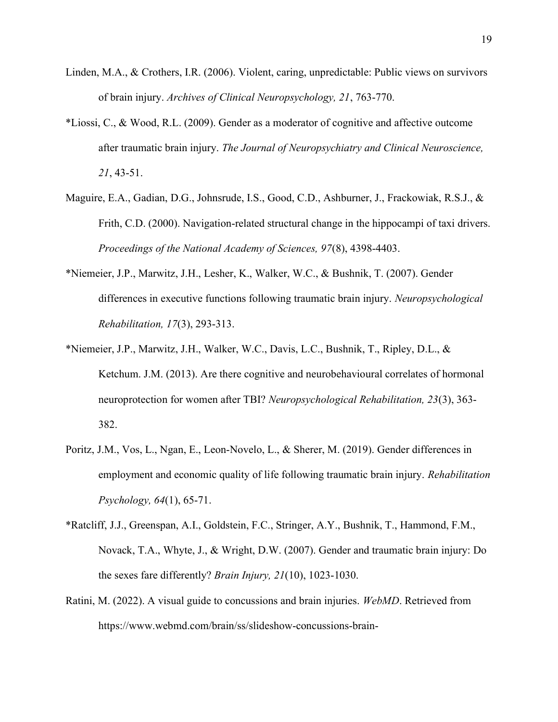- Linden, M.A., & Crothers, I.R. (2006). Violent, caring, unpredictable: Public views on survivors of brain injury. Archives of Clinical Neuropsychology, 21, 763-770.
- \*Liossi, C., & Wood, R.L. (2009). Gender as a moderator of cognitive and affective outcome after traumatic brain injury. The Journal of Neuropsychiatry and Clinical Neuroscience, 21, 43-51.
- Maguire, E.A., Gadian, D.G., Johnsrude, I.S., Good, C.D., Ashburner, J., Frackowiak, R.S.J., & Frith, C.D. (2000). Navigation-related structural change in the hippocampi of taxi drivers. Proceedings of the National Academy of Sciences, 97(8), 4398-4403.
- \*Niemeier, J.P., Marwitz, J.H., Lesher, K., Walker, W.C., & Bushnik, T. (2007). Gender differences in executive functions following traumatic brain injury. Neuropsychological Rehabilitation, 17(3), 293-313.
- \*Niemeier, J.P., Marwitz, J.H., Walker, W.C., Davis, L.C., Bushnik, T., Ripley, D.L., & Ketchum. J.M. (2013). Are there cognitive and neurobehavioural correlates of hormonal neuroprotection for women after TBI? Neuropsychological Rehabilitation, 23(3), 363-382.
- Poritz, J.M., Vos, L., Ngan, E., Leon-Novelo, L., & Sherer, M. (2019). Gender differences in employment and economic quality of life following traumatic brain injury. Rehabilitation Psychology, 64(1), 65-71.
- \*Ratcliff, J.J., Greenspan, A.I., Goldstein, F.C., Stringer, A.Y., Bushnik, T., Hammond, F.M., Novack, T.A., Whyte, J., & Wright, D.W. (2007). Gender and traumatic brain injury: Do the sexes fare differently? Brain Injury, 21(10), 1023-1030.
- Ratini, M. (2022). A visual guide to concussions and brain injuries. WebMD. Retrieved from https://www.webmd.com/brain/ss/slideshow-concussions-brain-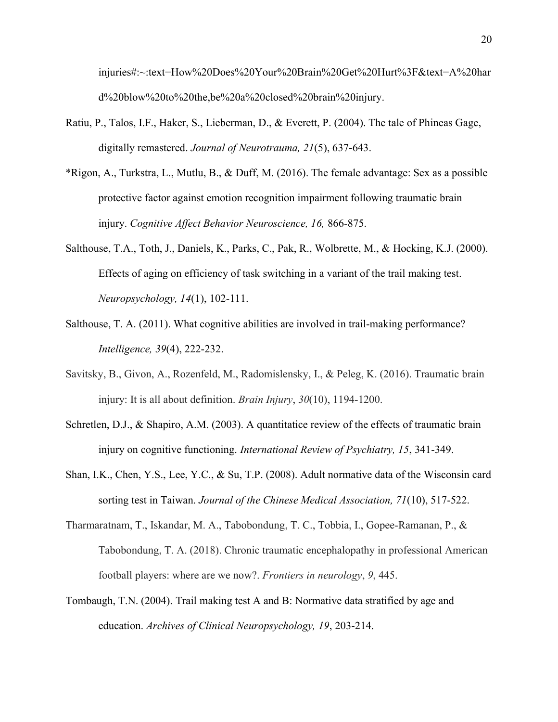injuries#:~:text=How%20Does%20Your%20Brain%20Get%20Hurt%3F&text=A%20har d%20blow%20to%20the,be%20a%20closed%20brain%20injury.

- Ratiu, P., Talos, I.F., Haker, S., Lieberman, D., & Everett, P. (2004). The tale of Phineas Gage, digitally remastered. Journal of Neurotrauma, 21(5), 637-643.
- \*Rigon, A., Turkstra, L., Mutlu, B., & Duff, M. (2016). The female advantage: Sex as a possible protective factor against emotion recognition impairment following traumatic brain injury. Cognitive Affect Behavior Neuroscience, 16, 866-875.
- Salthouse, T.A., Toth, J., Daniels, K., Parks, C., Pak, R., Wolbrette, M., & Hocking, K.J. (2000). Effects of aging on efficiency of task switching in a variant of the trail making test. Neuropsychology, 14(1), 102-111.
- Salthouse, T. A. (2011). What cognitive abilities are involved in trail-making performance? Intelligence, 39(4), 222-232.
- Savitsky, B., Givon, A., Rozenfeld, M., Radomislensky, I., & Peleg, K. (2016). Traumatic brain injury: It is all about definition. Brain Injury, 30(10), 1194-1200.
- Schretlen, D.J., & Shapiro, A.M. (2003). A quantitatice review of the effects of traumatic brain injury on cognitive functioning. International Review of Psychiatry, 15, 341-349.
- Shan, I.K., Chen, Y.S., Lee, Y.C., & Su, T.P. (2008). Adult normative data of the Wisconsin card sorting test in Taiwan. Journal of the Chinese Medical Association, 71(10), 517-522.
- Tharmaratnam, T., Iskandar, M. A., Tabobondung, T. C., Tobbia, I., Gopee-Ramanan, P., & Tabobondung, T. A. (2018). Chronic traumatic encephalopathy in professional American football players: where are we now?. Frontiers in neurology, 9, 445.
- Tombaugh, T.N. (2004). Trail making test A and B: Normative data stratified by age and education. Archives of Clinical Neuropsychology, 19, 203-214.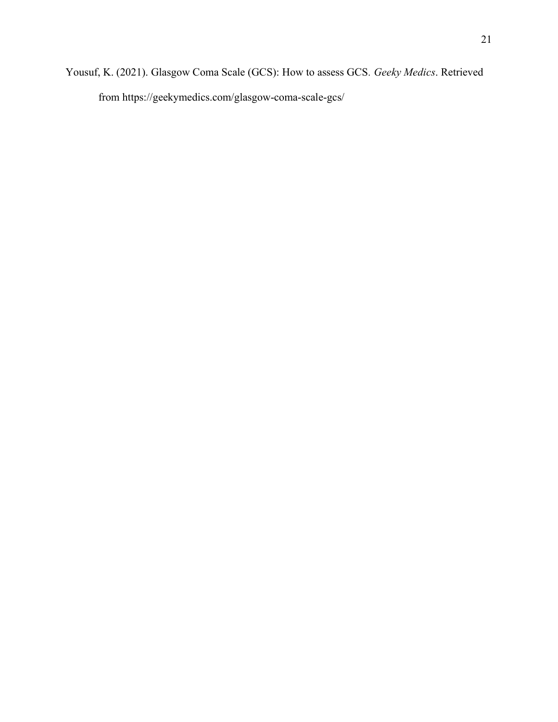Yousuf, K. (2021). Glasgow Coma Scale (GCS): How to assess GCS. Geeky Medics. Retrieved from https://geekymedics.com/glasgow-coma-scale-gcs/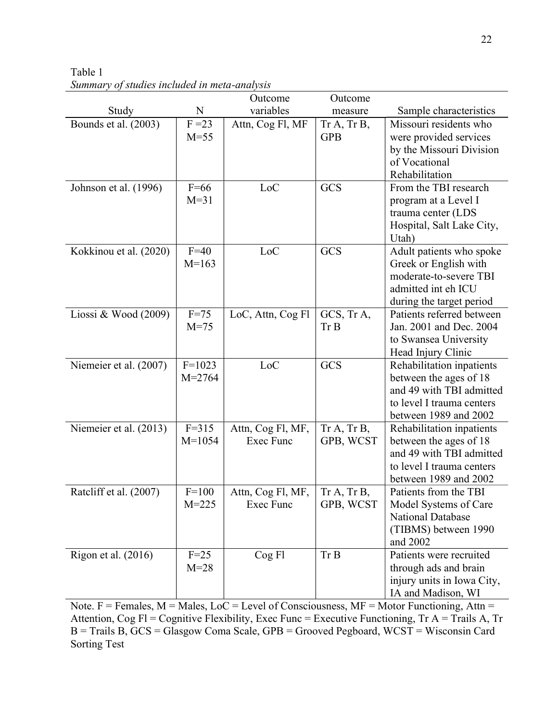|                        |                   | Outcome           | Outcome     |                                                 |  |  |
|------------------------|-------------------|-------------------|-------------|-------------------------------------------------|--|--|
| Study                  | $\mathbf N$       | variables         | measure     | Sample characteristics                          |  |  |
| Bounds et al. (2003)   | $F = 23$          | Attn, Cog Fl, MF  | Tr A, Tr B, | Missouri residents who                          |  |  |
|                        | $M=55$            |                   | <b>GPB</b>  | were provided services                          |  |  |
|                        |                   |                   |             | by the Missouri Division                        |  |  |
|                        |                   |                   |             | of Vocational                                   |  |  |
|                        |                   |                   |             | Rehabilitation                                  |  |  |
| Johnson et al. (1996)  | $F=66$            | LoC               | GCS         | From the TBI research                           |  |  |
|                        | $M=31$            |                   |             | program at a Level I                            |  |  |
|                        |                   |                   |             | trauma center (LDS                              |  |  |
|                        |                   |                   |             | Hospital, Salt Lake City,                       |  |  |
|                        |                   |                   |             | Utah)                                           |  |  |
| Kokkinou et al. (2020) | $F=40$<br>$M=163$ | LoC               | GCS         | Adult patients who spoke                        |  |  |
|                        |                   |                   |             | Greek or English with<br>moderate-to-severe TBI |  |  |
|                        |                   |                   |             | admitted int eh ICU                             |  |  |
|                        |                   |                   |             | during the target period                        |  |  |
| Liossi & Wood $(2009)$ | $F=75$            | LoC, Attn, Cog Fl | GCS, Tr A,  | Patients referred between                       |  |  |
|                        | $M = 75$          |                   | Tr B        | Jan. 2001 and Dec. 2004                         |  |  |
|                        |                   |                   |             | to Swansea University                           |  |  |
|                        |                   |                   |             | Head Injury Clinic                              |  |  |
| Niemeier et al. (2007) | $F=1023$          | LoC               | GCS         | Rehabilitation inpatients                       |  |  |
|                        | $M = 2764$        |                   |             | between the ages of 18                          |  |  |
|                        |                   |                   |             | and 49 with TBI admitted                        |  |  |
|                        |                   |                   |             | to level I trauma centers                       |  |  |
|                        |                   |                   |             | between 1989 and 2002                           |  |  |
| Niemeier et al. (2013) | $F = 315$         | Attn, Cog Fl, MF, | Tr A, Tr B, | Rehabilitation inpatients                       |  |  |
|                        | $M = 1054$        | <b>Exec Func</b>  | GPB, WCST   | between the ages of 18                          |  |  |
|                        |                   |                   |             | and 49 with TBI admitted                        |  |  |
|                        |                   |                   |             | to level I trauma centers                       |  |  |
|                        |                   |                   |             | between 1989 and 2002                           |  |  |
| Ratcliff et al. (2007) | $F=100$           | Attn, Cog Fl, MF, | Tr A, Tr B, | Patients from the TBI                           |  |  |
|                        | $M = 225$         | Exec Func         | GPB, WCST   | Model Systems of Care                           |  |  |
|                        |                   |                   |             | <b>National Database</b>                        |  |  |
|                        |                   |                   |             | (TIBMS) between 1990                            |  |  |
| Rigon et al. (2016)    | $F=25$            | Cog Fl            | Tr B        | and 2002<br>Patients were recruited             |  |  |
|                        | $M=28$            |                   |             | through ads and brain                           |  |  |
|                        |                   |                   |             | injury units in Iowa City,                      |  |  |
|                        |                   |                   |             | IA and Madison, WI                              |  |  |

Table 1 Summary of studies included in meta-analysis

Note.  $F =$  Females,  $M =$  Males,  $LoC =$  Level of Consciousness,  $MF =$  Motor Functioning, Attn = Attention, Cog Fl = Cognitive Flexibility, Exec Func = Executive Functioning, Tr A = Trails A, Tr B = Trails B, GCS = Glasgow Coma Scale, GPB = Grooved Pegboard, WCST = Wisconsin Card Sorting Test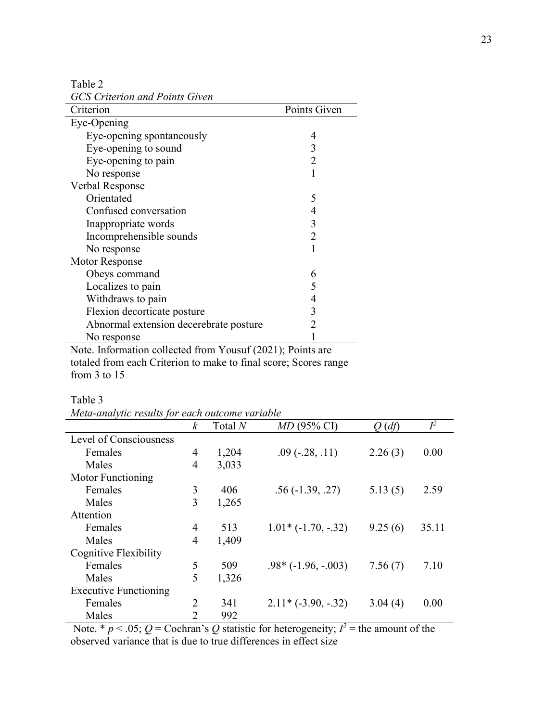Table 2

GCS Criterion and Points Given

| Criterion                                                  | Points Given |  |  |  |  |
|------------------------------------------------------------|--------------|--|--|--|--|
| Eye-Opening                                                |              |  |  |  |  |
| Eye-opening spontaneously                                  | 4            |  |  |  |  |
| Eye-opening to sound                                       | 3            |  |  |  |  |
| Eye-opening to pain                                        | 2            |  |  |  |  |
| No response                                                |              |  |  |  |  |
| Verbal Response                                            |              |  |  |  |  |
| Orientated                                                 | 5            |  |  |  |  |
| Confused conversation                                      |              |  |  |  |  |
| Inappropriate words                                        | 3            |  |  |  |  |
| Incomprehensible sounds                                    | 2            |  |  |  |  |
| No response                                                |              |  |  |  |  |
| <b>Motor Response</b>                                      |              |  |  |  |  |
| Obeys command                                              | 6            |  |  |  |  |
| Localizes to pain                                          |              |  |  |  |  |
| Withdraws to pain                                          |              |  |  |  |  |
| Flexion decorticate posture                                | 3            |  |  |  |  |
| Abnormal extension decerebrate posture                     | 2            |  |  |  |  |
| No response                                                |              |  |  |  |  |
| Note. Information collected from Yousuf (2021); Points are |              |  |  |  |  |

totaled from each Criterion to make to final score; Scores range from 3 to 15

| ۰. |  |
|----|--|
|    |  |

| <u>them analytic results for each outcome variable</u> | k              | Total $N$ | $MD(95\% CI)$                |         | $I^2$ |
|--------------------------------------------------------|----------------|-----------|------------------------------|---------|-------|
|                                                        |                |           |                              | (df)    |       |
| Level of Consciousness                                 |                |           |                              |         |       |
| Females                                                | 4              | 1,204     | $.09$ ( $-.28, .11$ )        | 2.26(3) | 0.00  |
| Males                                                  | 4              | 3,033     |                              |         |       |
| Motor Functioning                                      |                |           |                              |         |       |
| Females                                                | 3              | 406       | $.56(-1.39, .27)$            | 5.13(5) | 2.59  |
| Males                                                  | 3              | 1,265     |                              |         |       |
| Attention                                              |                |           |                              |         |       |
| Females                                                | 4              | 513       | $1.01*$ ( $-1.70$ , $-.32$ ) | 9.25(6) | 35.11 |
| Males                                                  | $\overline{4}$ | 1,409     |                              |         |       |
| Cognitive Flexibility                                  |                |           |                              |         |       |
| Females                                                | 5              | 509       | $.98*(-1.96, -.003)$         | 7.56(7) | 7.10  |
| Males                                                  | 5              | 1,326     |                              |         |       |
| <b>Executive Functioning</b>                           |                |           |                              |         |       |
| Females                                                | 2              | 341       | $2.11*(-3.90,-.32)$          | 3.04(4) | 0.00  |
| Males                                                  | $\overline{2}$ | 992       |                              |         |       |

Meta-analytic results for each outcome variable

Note. \*  $p < .05$ ; Q = Cochran's Q statistic for heterogeneity;  $I^2$  = the amount of the observed variance that is due to true differences in effect size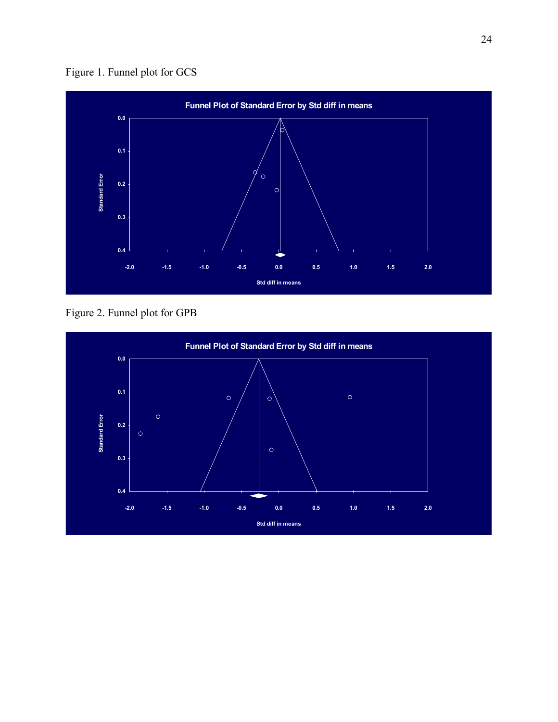



Figure 2. Funnel plot for GPB

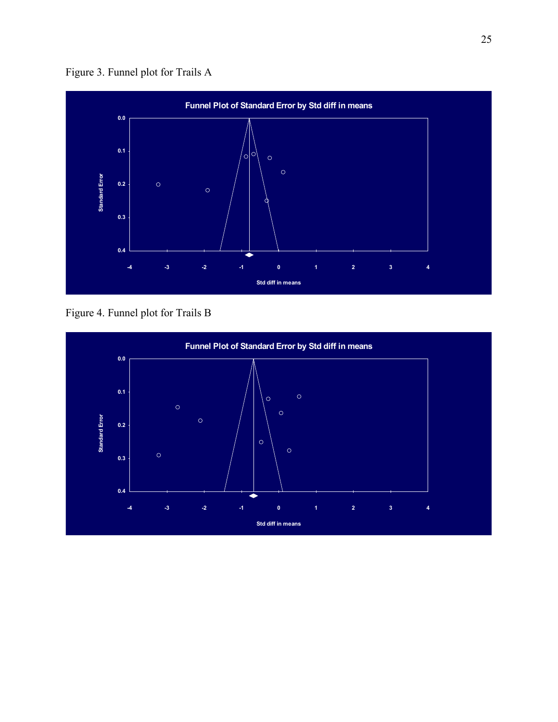Figure 3. Funnel plot for Trails A



Figure 4. Funnel plot for Trails B